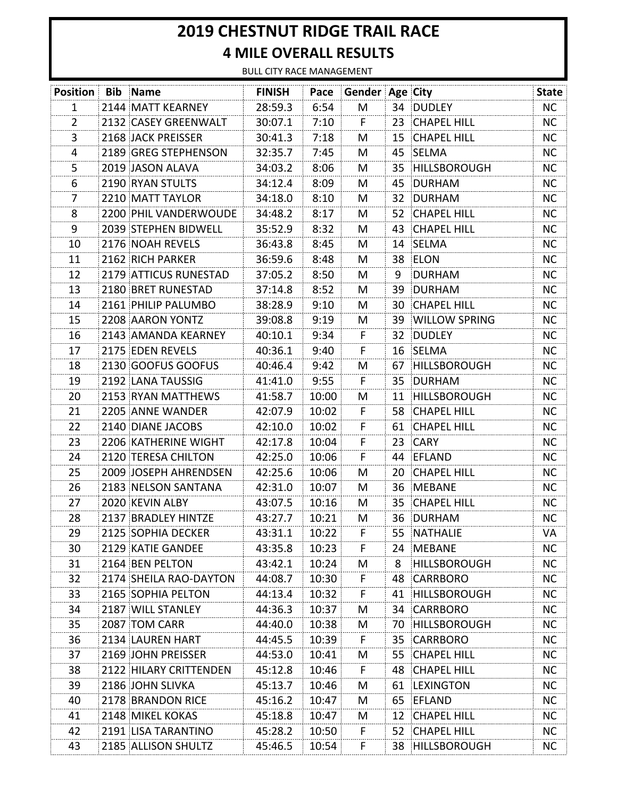## **2019 CHESTNUT RIDGE TRAIL RACE 4 MILE OVERALL RESULTS**

BULL CITY RACE MANAGEMENT

| <b>Position Bib Name</b> |                        | <b>FINISH</b> |       | Pace Gender Age City |    |                      | <b>State</b> |
|--------------------------|------------------------|---------------|-------|----------------------|----|----------------------|--------------|
| 1                        | 2144 MATT KEARNEY      | 28:59.3       | 6:54  | M                    |    | 34 DUDLEY            | NC           |
| 2                        | 2132 CASEY GREENWALT   | 30:07.1       | 7:10  | F.                   |    | 23 CHAPEL HILL       | NC.          |
| 3                        | 2168 JACK PREISSER     | 30:41.3       | 7:18  | M                    |    | 15 CHAPEL HILL       | <b>NC</b>    |
| 4                        | 2189 GREG STEPHENSON   | 32:35.7       | 7:45  | M                    | 45 | SELMA                | <b>NC</b>    |
| 5                        | 2019 JASON ALAVA       | 34:03.2       | 8:06  | M                    | 35 | <b>HILLSBOROUGH</b>  | NC           |
| 6                        | 2190 RYAN STULTS       | 34:12.4       | 8:09  | M                    | 45 | DURHAM               | <b>NC</b>    |
| 7                        | 2210 MATT TAYLOR       | 34:18.0       | 8:10  | M                    |    | 32 DURHAM            | <b>NC</b>    |
| 8                        | 2200 PHIL VANDERWOUDE  | 34:48.2       | 8:17  | M                    | 52 | <b>CHAPEL HILL</b>   | NC.          |
| 9                        | 2039 STEPHEN BIDWELL   | 35:52.9       | 8:32  | M                    | 43 | <b>CHAPEL HILL</b>   | <b>NC</b>    |
| 10                       | 2176 NOAH REVELS       | 36:43.8       | 8:45  | M                    | 14 | SELMA                | <b>NC</b>    |
| 11                       | 2162 RICH PARKER       | 36:59.6       | 8:48  | M                    |    | 38 ELON              | <b>NC</b>    |
| 12                       | 2179 ATTICUS RUNESTAD  | 37:05.2       | 8:50  | M                    | 9  | <b>DURHAM</b>        | <b>NC</b>    |
| 13                       | 2180 BRET RUNESTAD     | 37:14.8       | 8:52  | M                    | 39 | DURHAM               | <b>NC</b>    |
| 14                       | 2161 PHILIP PALUMBO    | 38:28.9       | 9:10  | M                    |    | 30 CHAPEL HILL       | <b>NC</b>    |
| 15                       | 2208 AARON YONTZ       | 39:08.8       | 9:19  | M                    | 39 | <b>WILLOW SPRING</b> | <b>NC</b>    |
| 16                       | 2143 AMANDA KEARNEY    | 40:10.1       | 9:34  | F.                   | 32 | <b>DUDLEY</b>        | NC.          |
| 17                       | 2175 EDEN REVELS       | 40:36.1       | 9:40  | F                    |    | 16 SELMA             | NC           |
| 18                       | 2130 GOOFUS GOOFUS     | 40:46.4       | 9:42  | M                    |    | 67 HILLSBOROUGH      | NC.          |
| 19                       | 2192 LANA TAUSSIG      | 41:41.0       | 9:55  | F                    |    | 35 DURHAM            | <b>NC</b>    |
| 20                       | 2153 RYAN MATTHEWS     | 41:58.7       | 10:00 | M                    | 11 | HILLSBOROUGH         | NC           |
| 21                       | 2205 ANNE WANDER       | 42:07.9       | 10:02 | F                    |    | 58 CHAPEL HILL       | <b>NC</b>    |
| 22                       | 2140 DIANE JACOBS      | 42:10.0       | 10:02 | F                    |    | 61 CHAPEL HILL       | <b>NC</b>    |
| 23                       | 2206 KATHERINE WIGHT   | 42:17.8       | 10:04 | F                    |    | 23 CARY              | <b>NC</b>    |
| 24                       | 2120 TERESA CHILTON    | 42:25.0       | 10:06 | F                    | 44 | EFLAND               | <b>NC</b>    |
| 25                       | 2009 JOSEPH AHRENDSEN  | 42:25.6       | 10:06 | M                    |    | 20 CHAPEL HILL       | <b>NC</b>    |
| 26                       | 2183 NELSON SANTANA    | 42:31.0       | 10:07 | M                    |    | 36 MEBANE            | <b>NC</b>    |
| 27                       | 2020 KEVIN ALBY        | 43:07.5       | 10:16 | M                    |    | 35 CHAPEL HILL       | NC.          |
| 28                       | 2137 BRADLEY HINTZE    | 43:27.7       | 10:21 | M                    |    | 36 DURHAM            | NC.          |
| 29                       | 2125 SOPHIA DECKER     | 43:31.1       | 10:22 | F.                   |    | 55 NATHALIE          | VA           |
| 30                       | 2129 KATIE GANDEE      | 43:35.8       | 10:23 | F                    | 24 | MEBANE               | NC           |
| 31                       | 2164 BEN PELTON        | 43:42.1       | 10:24 | M                    | 8  | HILLSBOROUGH         | NC           |
| 32                       | 2174 SHEILA RAO-DAYTON | 44:08.7       | 10:30 | F                    |    | 48 CARRBORO          | NC.          |
| 33                       | 2165 SOPHIA PELTON     | 44:13.4       | 10:32 | F.                   | 41 | <b>HILLSBOROUGH</b>  | NC.          |
| 34                       | 2187 WILL STANLEY      | 44:36.3       | 10:37 | M                    | 34 | CARRBORO             | NC           |
| 35                       | 2087 TOM CARR          | 44:40.0       | 10:38 | M                    | 70 | <b>HILLSBOROUGH</b>  | NC.          |
| 36                       | 2134 LAUREN HART       | 44:45.5       | 10:39 | F                    |    | 35 CARRBORO          | NC.          |
| 37                       | 2169 JOHN PREISSER     | 44:53.0       | 10:41 | M                    | 55 | <b>CHAPEL HILL</b>   | NC.          |
| 38                       | 2122 HILARY CRITTENDEN | 45:12.8       | 10:46 | F                    |    | 48 CHAPEL HILL       | <b>NC</b>    |
| 39                       | 2186 JOHN SLIVKA       | 45:13.7       | 10:46 | M                    |    | 61 LEXINGTON         | <b>NC</b>    |
| 40                       | 2178 BRANDON RICE      | 45:16.2       | 10:47 | M                    |    | 65 EFLAND            | <b>NC</b>    |
| 41                       | 2148 MIKEL KOKAS       | 45:18.8       | 10:47 | M                    | 12 | <b>CHAPEL HILL</b>   | NC.          |
| 42                       | 2191 LISA TARANTINO    | 45:28.2       | 10:50 | F                    |    | 52 CHAPEL HILL       | <b>NC</b>    |
| 43                       | 2185 ALLISON SHULTZ    | 45:46.5       | 10:54 | F                    |    | 38 HILLSBOROUGH      | NC.          |